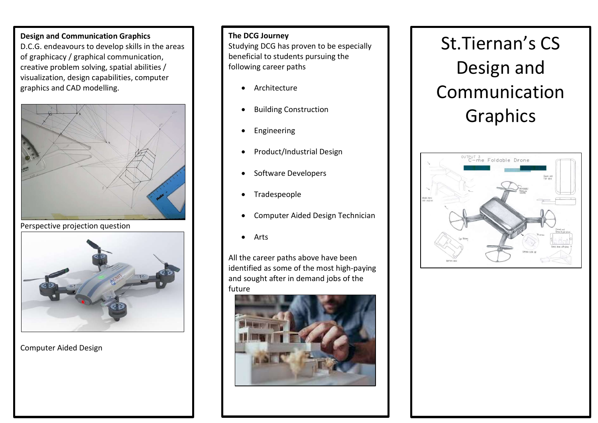### Design and Communication Graphics

D.C.G. endeavours to develop skills in the areas of graphicacy / graphical communication, creative problem solving, spatial abilities / visualization, design capabilities, computer graphics and CAD modelling.



Perspective projection question



Computer Aided Design

#### The DCG Journey

Studying DCG has proven to be especially beneficial to students pursuing the following career paths

- **•** Architecture
- Building Construction
- **•** Engineering
- Product/Industrial Design
- Software Developers
- Tradespeople
- Computer Aided Design Technician
- Arts

All the career paths above have been identified as some of the most high-paying and sought after in demand jobs of the future



# St.Tiernan's CS Design and Communication Graphics